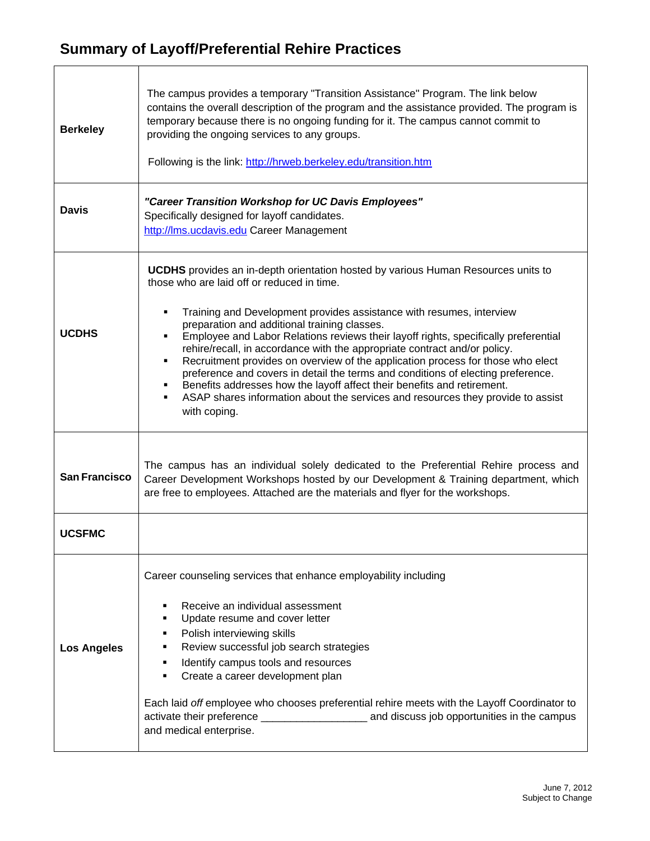## **Summary of Layoff/Preferential Rehire Practices**

| <b>Berkeley</b>      | The campus provides a temporary "Transition Assistance" Program. The link below<br>contains the overall description of the program and the assistance provided. The program is<br>temporary because there is no ongoing funding for it. The campus cannot commit to<br>providing the ongoing services to any groups.<br>Following is the link: http://hrweb.berkeley.edu/transition.htm                                                                                                                                                                                                                                                                                                                                                                                                      |
|----------------------|----------------------------------------------------------------------------------------------------------------------------------------------------------------------------------------------------------------------------------------------------------------------------------------------------------------------------------------------------------------------------------------------------------------------------------------------------------------------------------------------------------------------------------------------------------------------------------------------------------------------------------------------------------------------------------------------------------------------------------------------------------------------------------------------|
| <b>Davis</b>         | "Career Transition Workshop for UC Davis Employees"<br>Specifically designed for layoff candidates.<br>http://lms.ucdavis.edu Career Management                                                                                                                                                                                                                                                                                                                                                                                                                                                                                                                                                                                                                                              |
| <b>UCDHS</b>         | <b>UCDHS</b> provides an in-depth orientation hosted by various Human Resources units to<br>those who are laid off or reduced in time.<br>Training and Development provides assistance with resumes, interview<br>preparation and additional training classes.<br>Employee and Labor Relations reviews their layoff rights, specifically preferential<br>rehire/recall, in accordance with the appropriate contract and/or policy.<br>Recruitment provides on overview of the application process for those who elect<br>٠<br>preference and covers in detail the terms and conditions of electing preference.<br>Benefits addresses how the layoff affect their benefits and retirement.<br>ASAP shares information about the services and resources they provide to assist<br>with coping. |
| <b>San Francisco</b> | The campus has an individual solely dedicated to the Preferential Rehire process and<br>Career Development Workshops hosted by our Development & Training department, which<br>are free to employees. Attached are the materials and flyer for the workshops.                                                                                                                                                                                                                                                                                                                                                                                                                                                                                                                                |
| <b>UCSFMC</b>        |                                                                                                                                                                                                                                                                                                                                                                                                                                                                                                                                                                                                                                                                                                                                                                                              |
| <b>Los Angeles</b>   | Career counseling services that enhance employability including<br>Receive an individual assessment<br>п<br>Update resume and cover letter<br>٠<br>Polish interviewing skills<br>٠<br>Review successful job search strategies<br>٠<br>Identify campus tools and resources<br>٠<br>Create a career development plan<br>Each laid off employee who chooses preferential rehire meets with the Layoff Coordinator to<br>and medical enterprise.                                                                                                                                                                                                                                                                                                                                                 |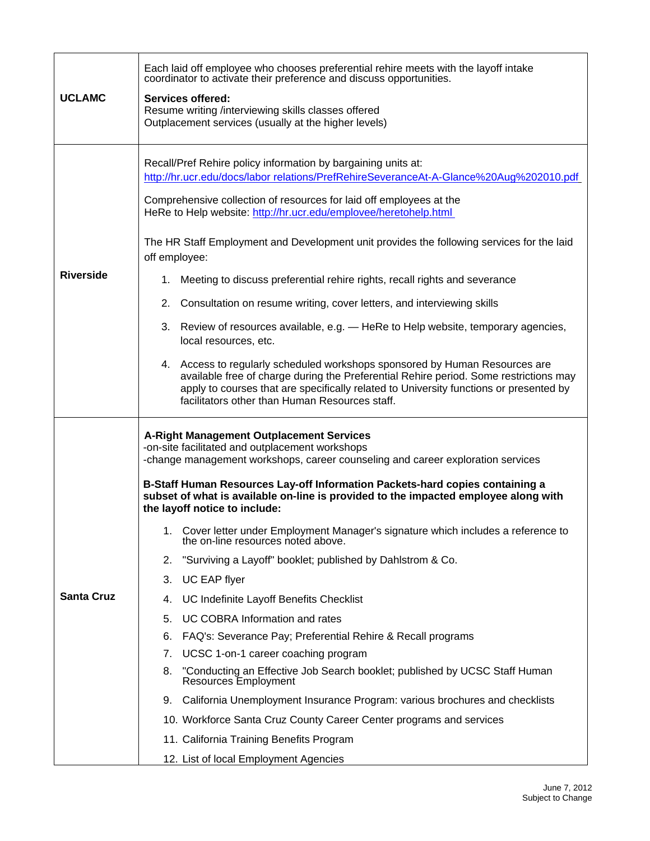| <b>UCLAMC</b>     | Each laid off employee who chooses preferential rehire meets with the layoff intake<br>coordinator to activate their preference and discuss opportunities.<br><b>Services offered:</b><br>Resume writing /interviewing skills classes offered<br>Outplacement services (usually at the higher levels)                                                                                                                                                                                                                                                                                                                                                                                                                                                                                                                                                                                                                                                                                                                                                                                                                                                                                        |
|-------------------|----------------------------------------------------------------------------------------------------------------------------------------------------------------------------------------------------------------------------------------------------------------------------------------------------------------------------------------------------------------------------------------------------------------------------------------------------------------------------------------------------------------------------------------------------------------------------------------------------------------------------------------------------------------------------------------------------------------------------------------------------------------------------------------------------------------------------------------------------------------------------------------------------------------------------------------------------------------------------------------------------------------------------------------------------------------------------------------------------------------------------------------------------------------------------------------------|
| <b>Riverside</b>  | Recall/Pref Rehire policy information by bargaining units at:<br>http://hr.ucr.edu/docs/labor relations/PrefRehireSeveranceAt-A-Glance%20Aug%202010.pdf<br>Comprehensive collection of resources for laid off employees at the<br>HeRe to Help website: http://hr.ucr.edu/emplovee/heretohelp.html<br>The HR Staff Employment and Development unit provides the following services for the laid<br>off employee:<br>1. Meeting to discuss preferential rehire rights, recall rights and severance<br>2. Consultation on resume writing, cover letters, and interviewing skills<br>3. Review of resources available, e.g. - HeRe to Help website, temporary agencies,<br>local resources, etc.<br>4. Access to regularly scheduled workshops sponsored by Human Resources are<br>available free of charge during the Preferential Rehire period. Some restrictions may<br>apply to courses that are specifically related to University functions or presented by<br>facilitators other than Human Resources staff.                                                                                                                                                                            |
| <b>Santa Cruz</b> | <b>A-Right Management Outplacement Services</b><br>-on-site facilitated and outplacement workshops<br>-change management workshops, career counseling and career exploration services<br>B-Staff Human Resources Lay-off Information Packets-hard copies containing a<br>subset of what is available on-line is provided to the impacted employee along with<br>the layoff notice to include:<br>Cover letter under Employment Manager's signature which includes a reference to the on-line resources noted above.<br>1.<br>2. "Surviving a Layoff" booklet; published by Dahlstrom & Co.<br>UC EAP flyer<br>3.<br>UC Indefinite Layoff Benefits Checklist<br>4.<br><b>UC COBRA Information and rates</b><br>5.<br>FAQ's: Severance Pay; Preferential Rehire & Recall programs<br>6.<br>UCSC 1-on-1 career coaching program<br>7.<br>"Conducting an Effective Job Search booklet; published by UCSC Staff Human<br>8.<br>Resources Employment<br>9. California Unemployment Insurance Program: various brochures and checklists<br>10. Workforce Santa Cruz County Career Center programs and services<br>11. California Training Benefits Program<br>12. List of local Employment Agencies |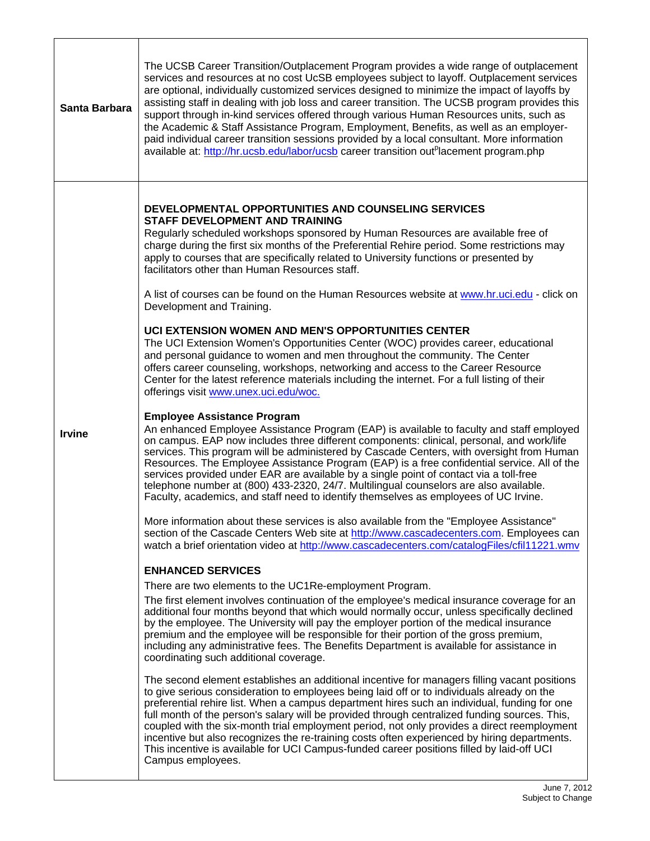| Santa Barbara | The UCSB Career Transition/Outplacement Program provides a wide range of outplacement<br>services and resources at no cost UcSB employees subject to layoff. Outplacement services<br>are optional, individually customized services designed to minimize the impact of layoffs by<br>assisting staff in dealing with job loss and career transition. The UCSB program provides this<br>support through in-kind services offered through various Human Resources units, such as<br>the Academic & Staff Assistance Program, Employment, Benefits, as well as an employer-<br>paid individual career transition sessions provided by a local consultant. More information<br>available at: http://hr.ucsb.edu/labor/ucsb career transition out <sup>p</sup> lacement program.php |
|---------------|---------------------------------------------------------------------------------------------------------------------------------------------------------------------------------------------------------------------------------------------------------------------------------------------------------------------------------------------------------------------------------------------------------------------------------------------------------------------------------------------------------------------------------------------------------------------------------------------------------------------------------------------------------------------------------------------------------------------------------------------------------------------------------|
|               | DEVELOPMENTAL OPPORTUNITIES AND COUNSELING SERVICES<br><b>STAFF DEVELOPMENT AND TRAINING</b><br>Regularly scheduled workshops sponsored by Human Resources are available free of<br>charge during the first six months of the Preferential Rehire period. Some restrictions may<br>apply to courses that are specifically related to University functions or presented by<br>facilitators other than Human Resources staff.<br>A list of courses can be found on the Human Resources website at www.hr.uci.edu - click on<br>Development and Training.                                                                                                                                                                                                                          |
|               | UCI EXTENSION WOMEN AND MEN'S OPPORTUNITIES CENTER<br>The UCI Extension Women's Opportunities Center (WOC) provides career, educational<br>and personal guidance to women and men throughout the community. The Center<br>offers career counseling, workshops, networking and access to the Career Resource<br>Center for the latest reference materials including the internet. For a full listing of their<br>offerings visit www.unex.uci.edu/woc.                                                                                                                                                                                                                                                                                                                           |
| <b>Irvine</b> | <b>Employee Assistance Program</b><br>An enhanced Employee Assistance Program (EAP) is available to faculty and staff employed<br>on campus. EAP now includes three different components: clinical, personal, and work/life<br>services. This program will be administered by Cascade Centers, with oversight from Human<br>Resources. The Employee Assistance Program (EAP) is a free confidential service. All of the<br>services provided under EAR are available by a single point of contact via a toll-free<br>telephone number at (800) 433-2320, 24/7. Multilingual counselors are also available.<br>Faculty, academics, and staff need to identify themselves as employees of UC Irvine.                                                                              |
|               | More information about these services is also available from the "Employee Assistance"<br>section of the Cascade Centers Web site at http://www.cascadecenters.com. Employees can<br>watch a brief orientation video at http://www.cascadecenters.com/catalogFiles/cfil11221.wmv                                                                                                                                                                                                                                                                                                                                                                                                                                                                                                |
|               | <b>ENHANCED SERVICES</b>                                                                                                                                                                                                                                                                                                                                                                                                                                                                                                                                                                                                                                                                                                                                                        |
|               | There are two elements to the UC1Re-employment Program.                                                                                                                                                                                                                                                                                                                                                                                                                                                                                                                                                                                                                                                                                                                         |
|               | The first element involves continuation of the employee's medical insurance coverage for an<br>additional four months beyond that which would normally occur, unless specifically declined<br>by the employee. The University will pay the employer portion of the medical insurance<br>premium and the employee will be responsible for their portion of the gross premium,<br>including any administrative fees. The Benefits Department is available for assistance in<br>coordinating such additional coverage.                                                                                                                                                                                                                                                             |
|               | The second element establishes an additional incentive for managers filling vacant positions<br>to give serious consideration to employees being laid off or to individuals already on the<br>preferential rehire list. When a campus department hires such an individual, funding for one<br>full month of the person's salary will be provided through centralized funding sources. This,<br>coupled with the six-month trial employment period, not only provides a direct reemployment<br>incentive but also recognizes the re-training costs often experienced by hiring departments.<br>This incentive is available for UCI Campus-funded career positions filled by laid-off UCI<br>Campus employees.                                                                    |